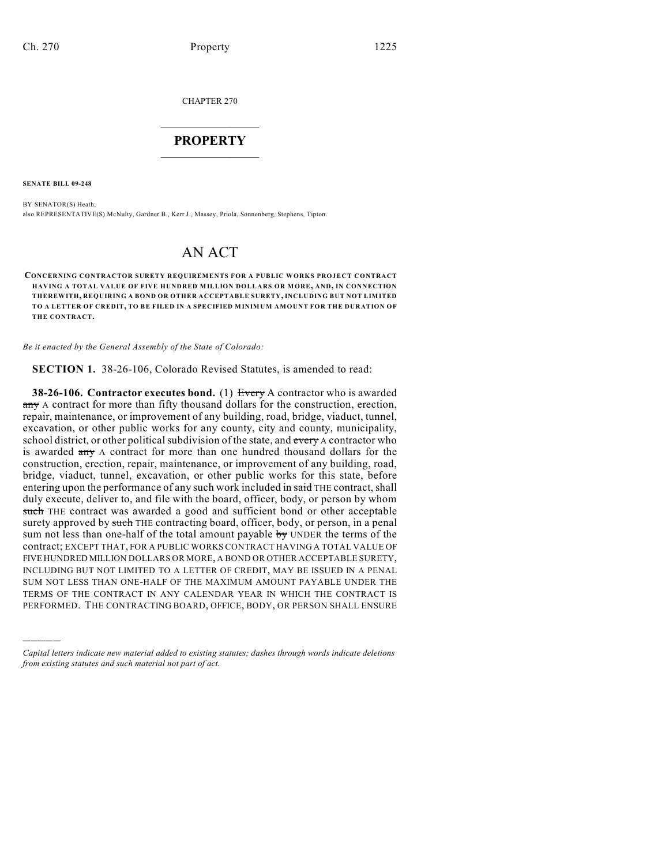CHAPTER 270

## $\mathcal{L}_\text{max}$  . The set of the set of the set of the set of the set of the set of the set of the set of the set of the set of the set of the set of the set of the set of the set of the set of the set of the set of the set **PROPERTY**  $\_$   $\_$   $\_$   $\_$   $\_$   $\_$   $\_$   $\_$   $\_$

**SENATE BILL 09-248**

)))))

BY SENATOR(S) Heath; also REPRESENTATIVE(S) McNulty, Gardner B., Kerr J., Massey, Priola, Sonnenberg, Stephens, Tipton.

## AN ACT

**CONCERNING CONTRACTOR SURETY REQUIREMENTS FOR A PUBLIC WORKS PROJECT CONTRACT HAVING A TOTAL VALUE OF FIVE HUNDRED MILLION DOLLARS OR MORE, AND, IN CONNECTION THEREWITH, REQUIRING A BOND OR OTHER ACCEPTABLE SURETY, INCLUDING BUT NOT LIMITED TO A LETTER OF CREDIT, TO BE FILED IN A SPECIFIED MINIMUM AMOUNT FOR THE DURATION OF THE CONTRACT.**

*Be it enacted by the General Assembly of the State of Colorado:*

**SECTION 1.** 38-26-106, Colorado Revised Statutes, is amended to read:

**38-26-106. Contractor executes bond.** (1) Every A contractor who is awarded any A contract for more than fifty thousand dollars for the construction, erection, repair, maintenance, or improvement of any building, road, bridge, viaduct, tunnel, excavation, or other public works for any county, city and county, municipality, school district, or other political subdivision of the state, and every A contractor who is awarded any A contract for more than one hundred thousand dollars for the construction, erection, repair, maintenance, or improvement of any building, road, bridge, viaduct, tunnel, excavation, or other public works for this state, before entering upon the performance of any such work included in said THE contract, shall duly execute, deliver to, and file with the board, officer, body, or person by whom such THE contract was awarded a good and sufficient bond or other acceptable surety approved by such THE contracting board, officer, body, or person, in a penal sum not less than one-half of the total amount payable by UNDER the terms of the contract; EXCEPT THAT, FOR A PUBLIC WORKS CONTRACT HAVING A TOTAL VALUE OF FIVE HUNDRED MILLION DOLLARS OR MORE, A BOND OR OTHER ACCEPTABLE SURETY, INCLUDING BUT NOT LIMITED TO A LETTER OF CREDIT, MAY BE ISSUED IN A PENAL SUM NOT LESS THAN ONE-HALF OF THE MAXIMUM AMOUNT PAYABLE UNDER THE TERMS OF THE CONTRACT IN ANY CALENDAR YEAR IN WHICH THE CONTRACT IS PERFORMED. THE CONTRACTING BOARD, OFFICE, BODY, OR PERSON SHALL ENSURE

*Capital letters indicate new material added to existing statutes; dashes through words indicate deletions from existing statutes and such material not part of act.*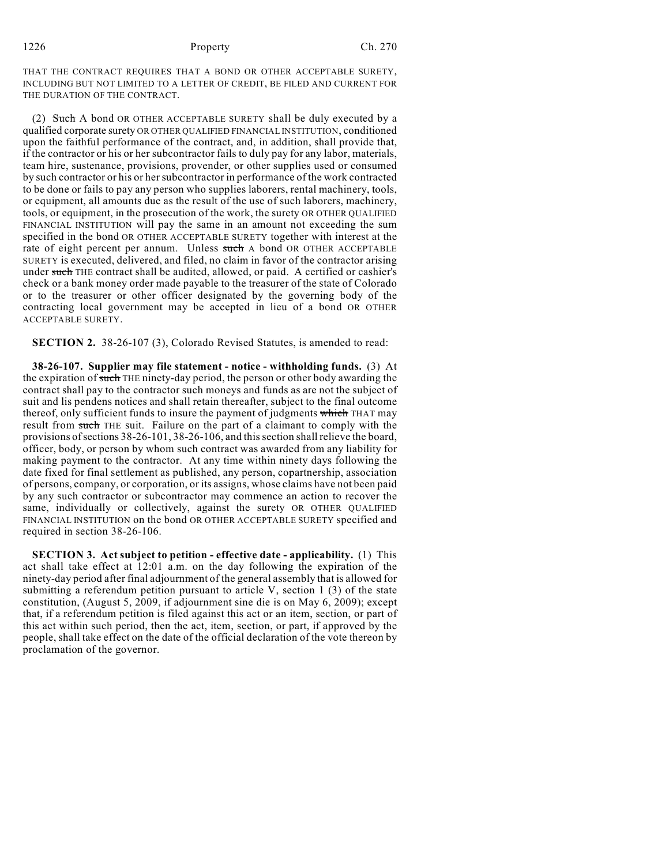1226 Property Ch. 270

THAT THE CONTRACT REQUIRES THAT A BOND OR OTHER ACCEPTABLE SURETY, INCLUDING BUT NOT LIMITED TO A LETTER OF CREDIT, BE FILED AND CURRENT FOR THE DURATION OF THE CONTRACT.

(2) Such A bond OR OTHER ACCEPTABLE SURETY shall be duly executed by a qualified corporate surety OR OTHER QUALIFIED FINANCIAL INSTITUTION, conditioned upon the faithful performance of the contract, and, in addition, shall provide that, if the contractor or his or her subcontractor fails to duly pay for any labor, materials, team hire, sustenance, provisions, provender, or other supplies used or consumed by such contractor or his or her subcontractor in performance of the work contracted to be done or fails to pay any person who supplies laborers, rental machinery, tools, or equipment, all amounts due as the result of the use of such laborers, machinery, tools, or equipment, in the prosecution of the work, the surety OR OTHER QUALIFIED FINANCIAL INSTITUTION will pay the same in an amount not exceeding the sum specified in the bond OR OTHER ACCEPTABLE SURETY together with interest at the rate of eight percent per annum. Unless such A bond OR OTHER ACCEPTABLE SURETY is executed, delivered, and filed, no claim in favor of the contractor arising under such THE contract shall be audited, allowed, or paid. A certified or cashier's check or a bank money order made payable to the treasurer of the state of Colorado or to the treasurer or other officer designated by the governing body of the contracting local government may be accepted in lieu of a bond OR OTHER ACCEPTABLE SURETY.

**SECTION 2.** 38-26-107 (3), Colorado Revised Statutes, is amended to read:

**38-26-107. Supplier may file statement - notice - withholding funds.** (3) At the expiration of such THE ninety-day period, the person or other body awarding the contract shall pay to the contractor such moneys and funds as are not the subject of suit and lis pendens notices and shall retain thereafter, subject to the final outcome thereof, only sufficient funds to insure the payment of judgments which THAT may result from such THE suit. Failure on the part of a claimant to comply with the provisions of sections 38-26-101, 38-26-106, and this section shall relieve the board, officer, body, or person by whom such contract was awarded from any liability for making payment to the contractor. At any time within ninety days following the date fixed for final settlement as published, any person, copartnership, association of persons, company, or corporation, or its assigns, whose claims have not been paid by any such contractor or subcontractor may commence an action to recover the same, individually or collectively, against the surety OR OTHER QUALIFIED FINANCIAL INSTITUTION on the bond OR OTHER ACCEPTABLE SURETY specified and required in section 38-26-106.

**SECTION 3. Act subject to petition - effective date - applicability.** (1) This act shall take effect at 12:01 a.m. on the day following the expiration of the ninety-day period after final adjournment of the general assembly that is allowed for submitting a referendum petition pursuant to article V, section 1  $(3)$  of the state constitution, (August 5, 2009, if adjournment sine die is on May 6, 2009); except that, if a referendum petition is filed against this act or an item, section, or part of this act within such period, then the act, item, section, or part, if approved by the people, shall take effect on the date of the official declaration of the vote thereon by proclamation of the governor.